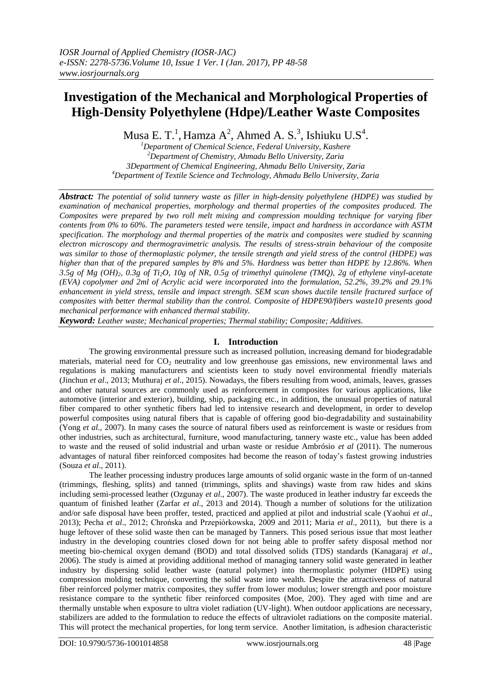# **Investigation of the Mechanical and Morphological Properties of High-Density Polyethylene (Hdpe)/Leather Waste Composites**

Musa E. T.<sup>1</sup>, Hamza A<sup>2</sup>, Ahmed A. S.<sup>3</sup>, Ishiuku U.S<sup>4</sup>.

*Department of Chemical Science, Federal University, Kashere Department of Chemistry, Ahmadu Bello University, Zaria 3Department of Chemical Engineering, Ahmadu Bello University, Zaria Department of Textile Science and Technology, Ahmadu Bello University, Zaria*

*Abstract: The potential of solid tannery waste as filler in high-density polyethylene (HDPE) was studied by examination of mechanical properties, morphology and thermal properties of the composites produced. The Composites were prepared by two roll melt mixing and compression moulding technique for varying fiber contents from 0% to 60%. The parameters tested were tensile, impact and hardness in accordance with ASTM specification. The morphology and thermal properties of the matrix and composites were studied by scanning electron microscopy and thermogravimetric analysis. The results of stress-strain behaviour of the composite was similar to those of thermoplastic polymer, the tensile strength and yield stress of the control (HDPE) was higher than that of the prepared samples by 8% and 5%. Hardness was better than HDPE by 12.86%. When 3.5g of Mg (OH)2, 0.3g of Ti2O, 10g of NR, 0.5g of trimethyl quinolene (TMQ), 2g of ethylene vinyl-acetate (EVA) copolymer and 2ml of Acrylic acid were incorporated into the formulation, 52.2%, 39.2% and 29.1% enhancement in yield stress, tensile and impact strength. SEM scan shows ductile tensile fractured surface of composites with better thermal stability than the control. Composite of HDPE90/fibers waste10 presents good mechanical performance with enhanced thermal stability.* 

*Keyword: Leather waste; Mechanical properties; Thermal stability; Composite; Additives.*

# **I. Introduction**

The growing environmental pressure such as increased pollution, increasing demand for biodegradable materials, material need for  $CO<sub>2</sub>$  neutrality and low greenhouse gas emissions, new environmental laws and regulations is making manufacturers and scientists keen to study novel environmental friendly materials (Jinchun *et al*., 2013; Muthuraj *et al*., 2015). Nowadays, the fibers resulting from wood, animals, leaves, grasses and other natural sources are commonly used as reinforcement in composites for various applications, like automotive (interior and exterior), building, ship, packaging etc., in addition, the unusual properties of natural fiber compared to other synthetic fibers had led to intensive research and development, in order to develop powerful composites using natural fibers that is capable of offering good bio-degradability and sustainability (Yong *et al.,* 2007). In many cases the source of natural fibers used as reinforcement is waste or residues from other industries, such as architectural, furniture, wood manufacturing, tannery waste etc., value has been added to waste and the reused of solid industrial and urban waste or residue Ambrósio *et al* (2011). The numerous advantages of natural fiber reinforced composites had become the reason of today's fastest growing industries (Souza *et al*., 2011).

The leather processing industry produces large amounts of solid organic waste in the form of un-tanned (trimmings, fleshing, splits) and tanned (trimmings, splits and shavings) waste from raw hides and skins including semi-processed leather (Ozgunay *et al*., 2007). The waste produced in leather industry far exceeds the quantum of finished leather (Zarfar *et al*., 2013 and 2014). Though a number of solutions for the utilization and/or safe disposal have been proffer, tested, practiced and applied at pilot and industrial scale (Yaohui *et al*., 2013); Pecha *et al*., 2012; Chrońska and Przepiórkowska, 2009 and 2011; Maria *et al*., 2011), but there is a huge leftover of these solid waste then can be managed by Tanners. This posed serious issue that most leather industry in the developing countries closed down for not being able to proffer safety disposal method nor meeting bio-chemical oxygen demand (BOD) and total dissolved solids (TDS) standards (Kanagaraj *et al*., 2006). The study is aimed at providing additional method of managing tannery solid waste generated in leather industry by dispersing solid leather waste (natural polymer) into thermoplastic polymer (HDPE) using compression molding technique, converting the solid waste into wealth. Despite the attractiveness of natural fiber reinforced polymer matrix composites, they suffer from lower modulus; lower strength and poor moisture resistance compare to the synthetic fiber reinforced composites (Moe, 200). They aged with time and are thermally unstable when exposure to ultra violet radiation (UV-light). When outdoor applications are necessary, stabilizers are added to the formulation to reduce the effects of ultraviolet radiations on the composite material. This will protect the mechanical properties, for long term service. Another limitation, is adhesion characteristic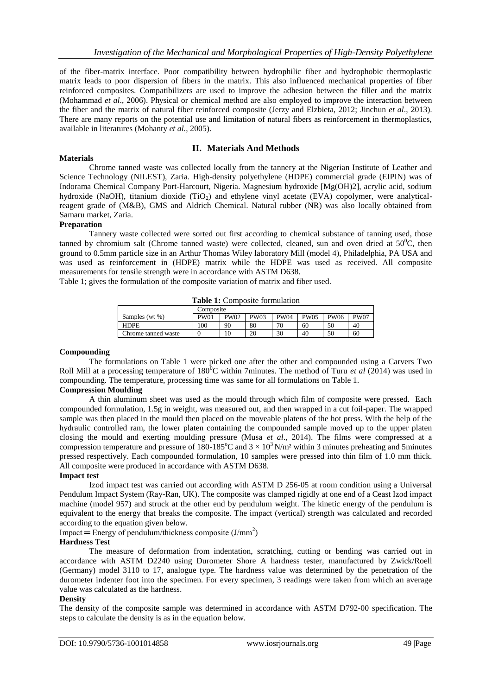of the fiber-matrix interface. Poor compatibility between hydrophilic fiber and hydrophobic thermoplastic matrix leads to poor dispersion of fibers in the matrix. This also influenced mechanical properties of fiber reinforced composites. Compatibilizers are used to improve the adhesion between the filler and the matrix (Mohammad *et al*., 2006). Physical or chemical method are also employed to improve the interaction between the fiber and the matrix of natural fiber reinforced composite (Jerzy and Elzbieta, 2012; Jinchun *et al*., 2013). There are many reports on the potential use and limitation of natural fibers as reinforcement in thermoplastics, available in literatures (Mohanty *et al.*, 2005).

### **II. Materials And Methods**

Chrome tanned waste was collected locally from the tannery at the Nigerian Institute of Leather and Science Technology (NILEST), Zaria. High-density polyethylene (HDPE) commercial grade (EIPIN) was of Indorama Chemical Company Port-Harcourt, Nigeria. Magnesium hydroxide [Mg(OH)2], acrylic acid, sodium hydroxide (NaOH), titanium dioxide (TiO<sub>2</sub>) and ethylene vinyl acetate (EVA) copolymer, were analyticalreagent grade of (M&B), GMS and Aldrich Chemical. Natural rubber (NR) was also locally obtained from Samaru market, Zaria.

#### **Preparation**

**Materials** 

Tannery waste collected were sorted out first according to chemical substance of tanning used, those tanned by chromium salt (Chrome tanned waste) were collected, cleaned, sun and oven dried at  $50^{\circ}$ C, then ground to 0.5mm particle size in an Arthur Thomas Wiley laboratory Mill (model 4), Philadelphia, PA USA and was used as reinforcement in (HDPE) matrix while the HDPE was used as received. All composite measurements for tensile strength were in accordance with ASTM D638.

Table 1; gives the formulation of the composite variation of matrix and fiber used.

| <b>Table 1:</b> Composite formulation |             |             |             |             |             |             |             |
|---------------------------------------|-------------|-------------|-------------|-------------|-------------|-------------|-------------|
|                                       | Composite   |             |             |             |             |             |             |
| Samples (wt %)                        | <b>PW01</b> | <b>PW02</b> | <b>PW03</b> | <b>PW04</b> | <b>PW05</b> | <b>PW06</b> | <b>PW07</b> |
| HDPE                                  | 100         | 90          | 80          | 70          | 60          | 50          | 40          |

Chrome tanned waste 0 10 20 30 40 50 60

**Table 1:** Composite formulation

#### **Compounding**

The formulations on Table 1 were picked one after the other and compounded using a Carvers Two Roll Mill at a processing temperature of 180<sup>0</sup>C within 7minutes. The method of Turu *et al* (2014) was used in compounding. The temperature, processing time was same for all formulations on Table 1.

## **Compression Moulding**

A thin aluminum sheet was used as the mould through which film of composite were pressed. Each compounded formulation, 1.5g in weight, was measured out, and then wrapped in a cut foil-paper. The wrapped sample was then placed in the mould then placed on the moveable platens of the hot press. With the help of the hydraulic controlled ram, the lower platen containing the compounded sample moved up to the upper platen closing the mould and exerting moulding pressure (Musa *et al*.*,* 2014). The films were compressed at a compression temperature and pressure of 180-185<sup>o</sup>C and  $3 \times 10^3$  N/m<sup>2</sup> within 3 minutes preheating and 5minutes pressed respectively. Each compounded formulation, 10 samples were pressed into thin film of 1.0 mm thick. All composite were produced in accordance with ASTM D638.

#### **Impact test**

Izod impact test was carried out according with ASTM D 256-05 at room condition using a Universal Pendulum Impact System (Ray-Ran, UK). The composite was clamped rigidly at one end of a Ceast Izod impact machine (model 957) and struck at the other end by pendulum weight. The kinetic energy of the pendulum is equivalent to the energy that breaks the composite. The impact (vertical) strength was calculated and recorded according to the equation given below.

Impact = Energy of pendulum/thickness composite  $(J/mm^2)$ 

#### **Hardness Test**

The measure of deformation from indentation, scratching, cutting or bending was carried out in accordance with ASTM D2240 using Durometer Shore A hardness tester, manufactured by Zwick/Roell (Germany) model 3110 to 17, analogue type. The hardness value was determined by the penetration of the durometer indenter foot into the specimen. For every specimen, 3 readings were taken from which an average value was calculated as the hardness.

#### **Density**

The density of the composite sample was determined in accordance with ASTM D792-00 specification. The steps to calculate the density is as in the equation below.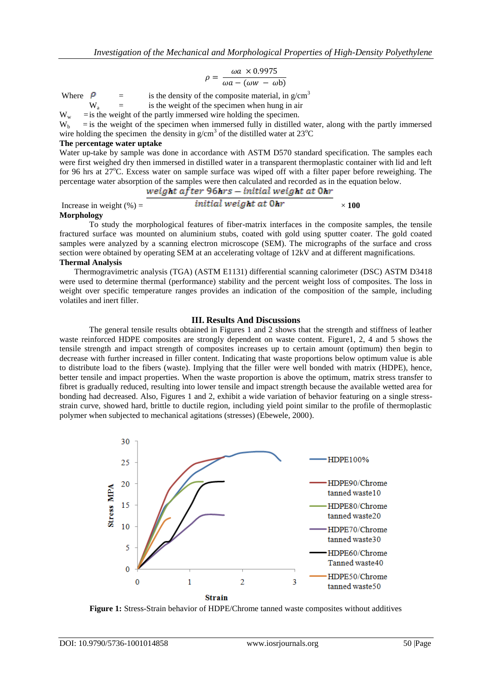$$
\rho = \frac{\omega a \times 0.9975}{\omega a - (\omega w - \omega b)}
$$

Where  $\theta$  = is the density of the composite material, in g/cm<sup>3</sup><br>W<sub>a</sub> = is the weight of the specimen when hung in air

 $=$  is the weight of the specimen when hung in air

 $W_w$  = is the weight of the partly immersed wire holding the specimen.<br>W<sub>h</sub> = is the weight of the specimen when immersed fully in distilled

 $=$  is the weight of the specimen when immersed fully in distilled water, along with the partly immersed wire holding the specimen the density in  $g/cm<sup>3</sup>$  of the distilled water at 23<sup>o</sup>C

#### **The** p**ercentage water uptake**

Water up-take by sample was done in accordance with ASTM D570 standard specification. The samples each were first weighed dry then immersed in distilled water in a transparent thermoplastic container with lid and left for 96 hrs at 27°C. Excess water on sample surface was wiped off with a filter paper before reweighing. The percentage water absorption of the samples were then calculated and recorded as in the equation below.

$$
weight\ after\ 96hrs - initial\ weight\ at\ 0hr
$$

Increase in weight  $\left(\% \right) =$  *initial weight at Ohr*  $\times 100$ **Morphology**

To study the morphological features of fiber-matrix interfaces in the composite samples, the tensile fractured surface was mounted on aluminium stubs, coated with gold using sputter coater. The gold coated samples were analyzed by a scanning electron microscope (SEM). The micrographs of the surface and cross section were obtained by operating SEM at an accelerating voltage of 12kV and at different magnifications. **Thermal Analysis**

Thermogravimetric analysis (TGA) (ASTM E1131) differential scanning calorimeter (DSC) ASTM D3418 were used to determine thermal (performance) stability and the percent weight loss of composites. The loss in weight over specific temperature ranges provides an indication of the composition of the sample, including volatiles and inert filler.

#### **III. Results And Discussions**

The general tensile results obtained in Figures 1 and 2 shows that the strength and stiffness of leather waste reinforced HDPE composites are strongly dependent on waste content. Figure1, 2, 4 and 5 shows the tensile strength and impact strength of composites increases up to certain amount (optimum) then begin to decrease with further increased in filler content. Indicating that waste proportions below optimum value is able to distribute load to the fibers (waste). Implying that the filler were well bonded with matrix (HDPE), hence, better tensile and impact properties. When the waste proportion is above the optimum, matrix stress transfer to fibret is gradually reduced, resulting into lower tensile and impact strength because the available wetted area for bonding had decreased. Also, Figures 1 and 2, exhibit a wide variation of behavior featuring on a single stressstrain curve, showed hard, brittle to ductile region, including yield point similar to the profile of thermoplastic polymer when subjected to mechanical agitations (stresses) (Ebewele, 2000).



**Figure 1:** Stress-Strain behavior of HDPE/Chrome tanned waste composites without additives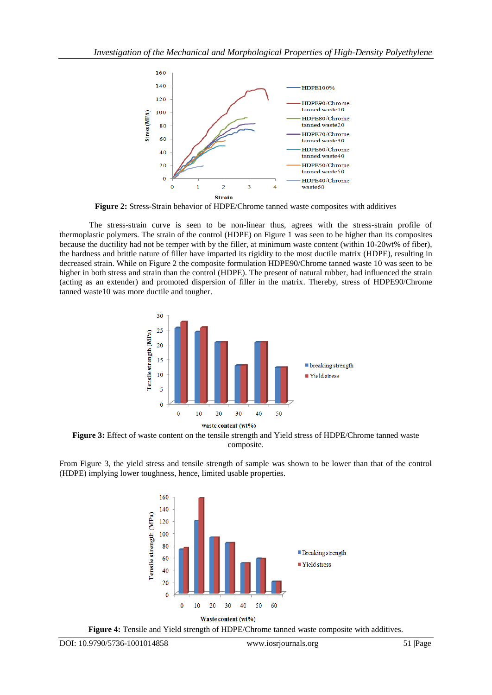

**Figure 2:** Stress-Strain behavior of HDPE/Chrome tanned waste composites with additives

The stress-strain curve is seen to be non-linear thus, agrees with the stress-strain profile of thermoplastic polymers. The strain of the control (HDPE) on Figure 1 was seen to be higher than its composites because the ductility had not be temper with by the filler, at minimum waste content (within 10-20wt% of fiber), the hardness and brittle nature of filler have imparted its rigidity to the most ductile matrix (HDPE), resulting in decreased strain. While on Figure 2 the composite formulation HDPE90/Chrome tanned waste 10 was seen to be higher in both stress and strain than the control (HDPE). The present of natural rubber, had influenced the strain (acting as an extender) and promoted dispersion of filler in the matrix. Thereby, stress of HDPE90/Chrome tanned waste10 was more ductile and tougher.



**Figure 3:** Effect of waste content on the tensile strength and Yield stress of HDPE/Chrome tanned waste composite.

From Figure 3, the yield stress and tensile strength of sample was shown to be lower than that of the control (HDPE) implying lower toughness, hence, limited usable properties.



Waste content (wt%)

**Figure 4:** Tensile and Yield strength of HDPE/Chrome tanned waste composite with additives.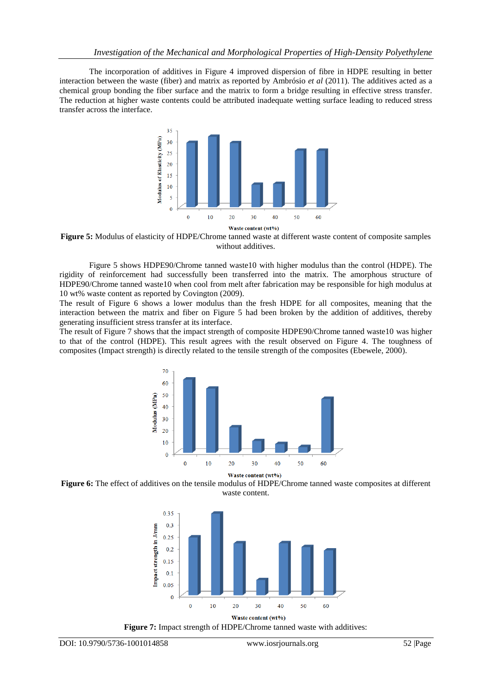The incorporation of additives in Figure 4 improved dispersion of fibre in HDPE resulting in better interaction between the waste (fiber) and matrix as reported by Ambrósio *et al* (2011). The additives acted as a chemical group bonding the fiber surface and the matrix to form a bridge resulting in effective stress transfer. The reduction at higher waste contents could be attributed inadequate wetting surface leading to reduced stress transfer across the interface.



**Figure 5:** Modulus of elasticity of HDPE/Chrome tanned waste at different waste content of composite samples without additives.

Figure 5 shows HDPE90/Chrome tanned waste10 with higher modulus than the control (HDPE). The rigidity of reinforcement had successfully been transferred into the matrix. The amorphous structure of HDPE90/Chrome tanned waste10 when cool from melt after fabrication may be responsible for high modulus at 10 wt% waste content as reported by Covington (2009).

The result of Figure 6 shows a lower modulus than the fresh HDPE for all composites, meaning that the interaction between the matrix and fiber on Figure 5 had been broken by the addition of additives, thereby generating insufficient stress transfer at its interface.

The result of Figure 7 shows that the impact strength of composite HDPE90/Chrome tanned waste10 was higher to that of the control (HDPE). This result agrees with the result observed on Figure 4. The toughness of composites (Impact strength) is directly related to the tensile strength of the composites (Ebewele, 2000).



**Figure 6:** The effect of additives on the tensile modulus of HDPE/Chrome tanned waste composites at different waste content.



**Figure 7:** Impact strength of HDPE/Chrome tanned waste with additives: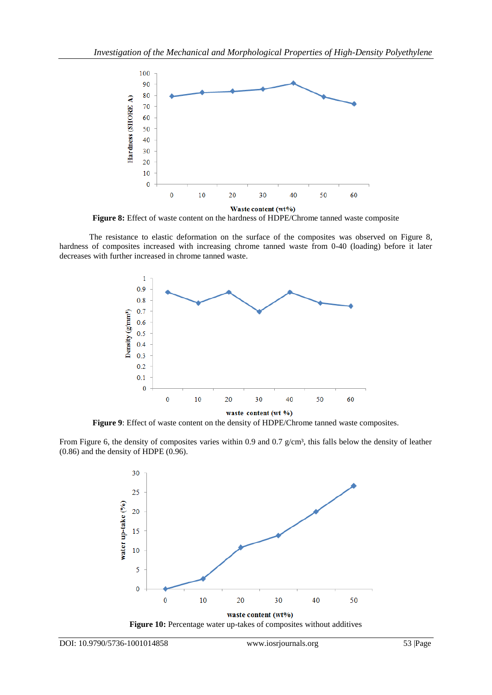

**Figure 8:** Effect of waste content on the hardness of HDPE/Chrome tanned waste composite

The resistance to elastic deformation on the surface of the composites was observed on Figure 8, hardness of composites increased with increasing chrome tanned waste from 0-40 (loading) before it later decreases with further increased in chrome tanned waste.



**Figure 9**: Effect of waste content on the density of HDPE/Chrome tanned waste composites.

From Figure 6, the density of composites varies within 0.9 and 0.7  $g/cm^3$ , this falls below the density of leather (0.86) and the density of HDPE (0.96).



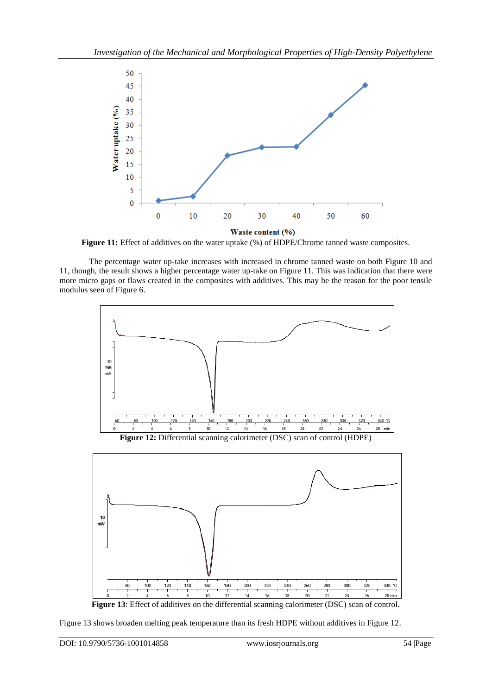

**Figure 11:** Effect of additives on the water uptake (%) of HDPE/Chrome tanned waste composites.

The percentage water up-take increases with increased in chrome tanned waste on both Figure 10 and 11, though, the result shows a higher percentage water up-take on Figure 11. This was indication that there were more micro gaps or flaws created in the composites with additives. This may be the reason for the poor tensile modulus seen of Figure 6.



**Figure 12:** Differential scanning calorimeter (DSC) scan of control (HDPE)



**Figure 13**: Effect of additives on the differential scanning calorimeter (DSC) scan of control.

Figure 13 shows broaden melting peak temperature than its fresh HDPE without additives in Figure 12.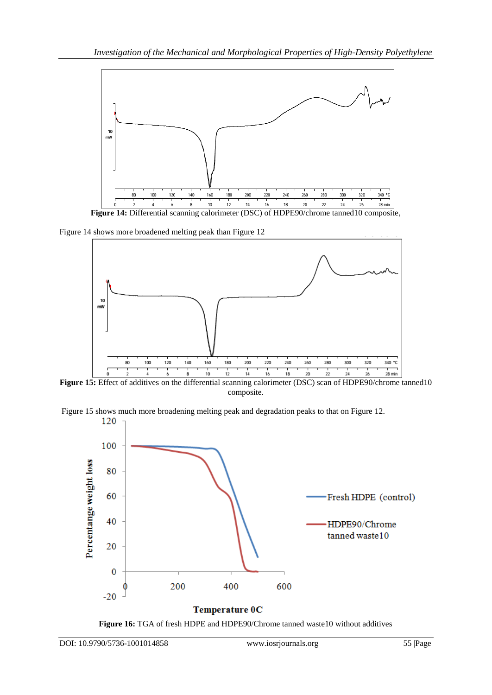

**Figure 14:** Differential scanning calorimeter (DSC) of HDPE90/chrome tanned10 composite,

Figure 14 shows more broadened melting peak than Figure 12



**Figure 15:** Effect of additives on the differential scanning calorimeter (DSC) scan of HDPE90/chrome tanned10 composite.

Figure 15 shows much more broadening melting peak and degradation peaks to that on Figure 12.



**Figure 16:** TGA of fresh HDPE and HDPE90/Chrome tanned waste10 without additives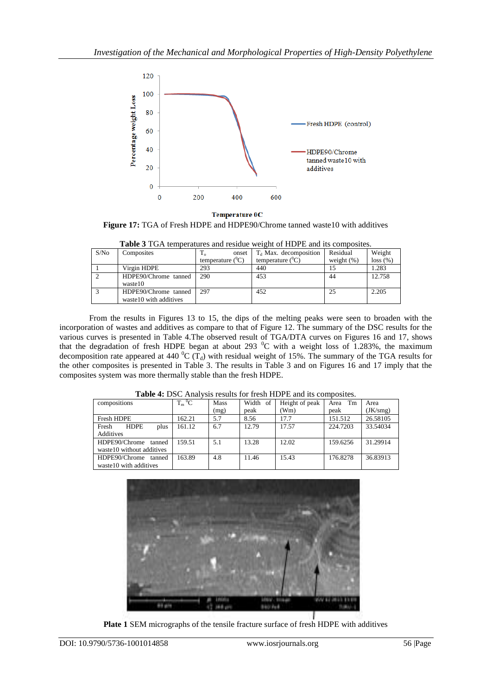

**Temperature OC** Figure 17: TGA of Fresh HDPE and HDPE90/Chrome tanned waste10 with additives

| <b>Tuble</b> of 1 On temperatures and residue weight of 11DT D and his composites. |                        |                       |                          |               |          |  |  |
|------------------------------------------------------------------------------------|------------------------|-----------------------|--------------------------|---------------|----------|--|--|
| S/No                                                                               | Composites             | onset<br>⊥օ           | $T_d$ Max. decomposition | Residual      | Weight   |  |  |
|                                                                                    |                        | temperature $(^{0}C)$ | temperature $(^0C)$      | weight $(\%)$ | loss (%) |  |  |
|                                                                                    | Virgin HDPE            | 293                   | 440                      |               | 1.283    |  |  |
|                                                                                    | HDPE90/Chrome tanned   | 290                   | 453                      | 44            | 12.758   |  |  |
|                                                                                    | waste10                |                       |                          |               |          |  |  |
|                                                                                    | HDPE90/Chrome tanned   | 297                   | 452                      | 25            | 2.205    |  |  |
|                                                                                    | waste10 with additives |                       |                          |               |          |  |  |

**Table 3** TGA temperatures and residue weight of HDPE and its composites.

From the results in Figures 13 to 15, the dips of the melting peaks were seen to broaden with the incorporation of wastes and additives as compare to that of Figure 12. The summary of the DSC results for the various curves is presented in Table 4.The observed result of TGA/DTA curves on Figures 16 and 17, shows that the degradation of fresh HDPE began at about 293  $^0C$  with a weight loss of 1.283%, the maximum decomposition rate appeared at 440  $^{\circ}C(T_d)$  with residual weight of 15%. The summary of the TGA results for the other composites is presented in Table 3. The results in Table 3 and on Figures 16 and 17 imply that the composites system was more thermally stable than the fresh HDPE.

| <b>THOIC IT DOCT MAIL TOID TOOMILD TOI HODIT TIDT D'ANG NO COMPOSITION</b> |            |      |          |                |            |          |  |
|----------------------------------------------------------------------------|------------|------|----------|----------------|------------|----------|--|
| compositions                                                               | $T_m{}^0C$ | Mass | Width of | Height of peak | Tm<br>Area | Area     |  |
|                                                                            |            | (mg) | peak     | (Wm)           | peak       | (JK/smg) |  |
| Fresh HDPE                                                                 | 162.21     | 5.7  | 8.56     | 17.7           | 151.512    | 26.58105 |  |
| <b>HDPE</b><br>plus<br>Fresh<br>Additives                                  | 161.12     | 6.7  | 12.79    | 17.57          | 224,7203   | 33.54034 |  |
| HDPE90/Chrome<br>tanned<br>waste10 without additives                       | 159.51     | 5.1  | 13.28    | 12.02          | 159.6256   | 31.29914 |  |
| HDPE90/Chrome tanned<br>waste10 with additives                             | 163.89     | 4.8  | 11.46    | 15.43          | 176.8278   | 36.83913 |  |

**Table 4:** DSC Analysis results for fresh HDPE and its composites.



**Plate 1** SEM micrographs of the tensile fracture surface of fresh HDPE with additives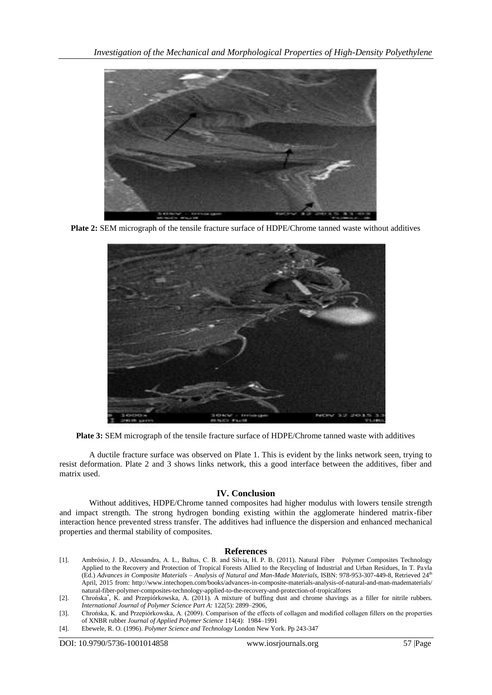

**Plate 2:** SEM micrograph of the tensile fracture surface of HDPE/Chrome tanned waste without additives



**Plate 3:** SEM micrograph of the tensile fracture surface of HDPE/Chrome tanned waste with additives

A ductile fracture surface was observed on Plate 1. This is evident by the links network seen, trying to resist deformation. Plate 2 and 3 shows links network, this a good interface between the additives, fiber and matrix used.

### **IV. Conclusion**

Without additives, HDPE/Chrome tanned composites had higher modulus with lowers tensile strength and impact strength. The strong hydrogen bonding existing within the agglomerate hindered matrix-fiber interaction hence prevented stress transfer. The additives had influence the dispersion and enhanced mechanical properties and thermal stability of composites.

#### **References**

[1]. Ambrósio, J. D., Alessandra, A. L., Baltus, C. B. and Sílvia, H. P. B. (2011). Natural Fiber Polymer Composites Technology Applied to the Recovery and Protection of Tropical Forests Allied to the Recycling of Industrial and Urban Residues, In T. Pavla (Ed.) *Advances in Composite Materials – Analysis of Natural and Man-Made Materials*, ISBN: 978-953-307-449-8, Retrieved 24th April, 2015 from: [http://www.intechopen.com/books/advances-in-composite-materials-analysis-of-natural-and-man-madematerials/](http://www.intechopen.com/books/advances-in-composite-materials-analysis-of-natural-and-man-madematerials/natural-fiber-polymer-composites-technology-applied-to-the-recovery-and-protection-of-tropicalfores) [natural-fiber-polymer-composites-technology-applied-to-the-recovery-and-protection-of-tropicalfores](http://www.intechopen.com/books/advances-in-composite-materials-analysis-of-natural-and-man-madematerials/natural-fiber-polymer-composites-technology-applied-to-the-recovery-and-protection-of-tropicalfores)

[3]. Chrońska, K and Przepiórkowska, (2009) Comparison of the effects of collagen and modified collagen fillers on the properties of XNBR rubber *Journal of Applied Polymer Science* 114(4): 1984–1991

[4]. Ebewele, R. O. (1996). *Polymer Science and Technology* London New York. Pp 243-347

DOI: 10.9790/5736-1001014858 www.iosrjournals.org 57 |Page

<sup>[2].</sup> Chrońska\* , K. and Przepiórkowska, A. (2011). A mixture of buffing dust and chrome shavings as a filler for nitrile rubbers. *International Journal of Polymer Science Part A:* 122(5): 2899–2906,